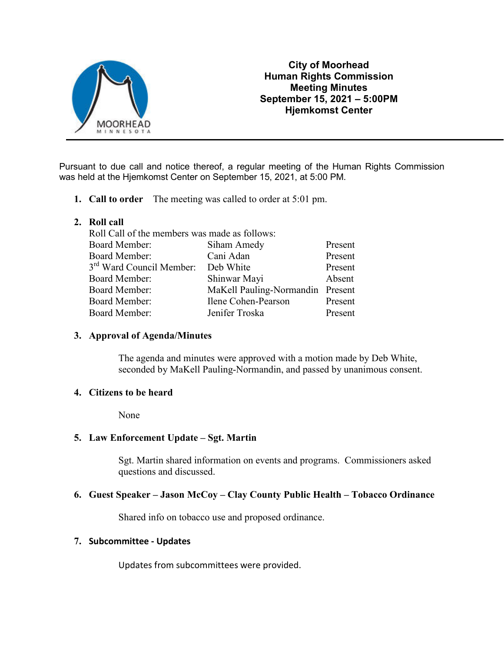

# **City of Moorhead Human Rights Commission Meeting Minutes September 15, 2021 – 5:00PM Hjemkomst Center**

Pursuant to due call and notice thereof, a regular meeting of the Human Rights Commission was held at the Hjemkomst Center on September 15, 2021, at 5:00 PM.

- **1. Call to order** The meeting was called to order at 5:01 pm.
- **2. Roll call**

| Roll Call of the members was made as follows: |                                  |         |
|-----------------------------------------------|----------------------------------|---------|
| <b>Board Member:</b>                          | Siham Amedy                      | Present |
| <b>Board Member:</b>                          | Cani Adan                        | Present |
| 3 <sup>rd</sup> Ward Council Member:          | Deb White                        | Present |
| <b>Board Member:</b>                          | Shinwar Mayi                     | Absent  |
| Board Member:                                 | MaKell Pauling-Normandin Present |         |
| <b>Board Member:</b>                          | Ilene Cohen-Pearson              | Present |
| <b>Board Member:</b>                          | Jenifer Troska                   | Present |
|                                               |                                  |         |

# **3. Approval of Agenda/Minutes**

The agenda and minutes were approved with a motion made by Deb White, seconded by MaKell Pauling-Normandin, and passed by unanimous consent.

# **4. Citizens to be heard**

None

# **5. Law Enforcement Update – Sgt. Martin**

Sgt. Martin shared information on events and programs. Commissioners asked questions and discussed.

#### **6. Guest Speaker – Jason McCoy – Clay County Public Health – Tobacco Ordinance**

Shared info on tobacco use and proposed ordinance.

#### **7. Subcommittee - Updates**

Updates from subcommittees were provided.